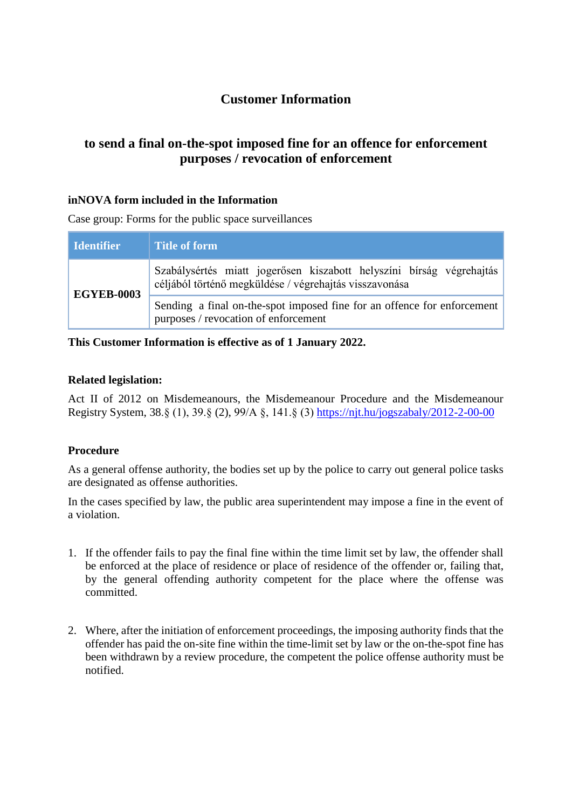# **Customer Information**

# **to send a final on-the-spot imposed fine for an offence for enforcement purposes / revocation of enforcement**

## **inNOVA form included in the Information**

Case group: Forms for the public space surveillances

| Identifier        | <b>Title of form</b>                                                                                                           |
|-------------------|--------------------------------------------------------------------------------------------------------------------------------|
| <b>EGYEB-0003</b> | Szabálysértés miatt jogerősen kiszabott helyszíni bírság végrehajtás<br>céljából történő megküldése / végrehajtás visszavonása |
|                   | Sending a final on-the-spot imposed fine for an offence for enforcement<br>purposes / revocation of enforcement                |

**This Customer Information is effective as of 1 January 2022.**

#### **Related legislation:**

Act II of 2012 on Misdemeanours, the Misdemeanour Procedure and the Misdemeanour Registry System, 38.§ (1), 39.§ (2), 99/A §, 141.§ (3) <https://njt.hu/jogszabaly/2012-2-00-00>

#### **Procedure**

As a general offense authority, the bodies set up by the police to carry out general police tasks are designated as offense authorities.

In the cases specified by law, the public area superintendent may impose a fine in the event of a violation.

- 1. If the offender fails to pay the final fine within the time limit set by law, the offender shall be enforced at the place of residence or place of residence of the offender or, failing that, by the general offending authority competent for the place where the offense was committed.
- 2. Where, after the initiation of enforcement proceedings, the imposing authority finds that the offender has paid the on-site fine within the time-limit set by law or the on-the-spot fine has been withdrawn by a review procedure, the competent the police offense authority must be notified.